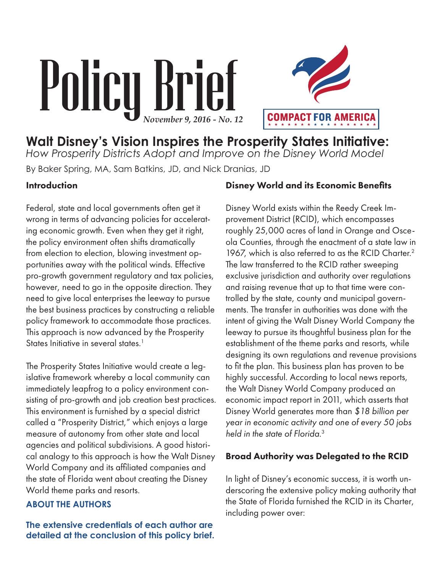# Policy Brief *November 9, 2016 - No. 12*



**Walt Disney's Vision Inspires the Prosperity States Initiative:** *How Prosperity Districts Adopt and Improve on the Disney World Model* By Baker Spring, MA, Sam Batkins, JD, and Nick Dranias, JD

#### Introduction

Federal, state and local governments often get it wrong in terms of advancing policies for accelerating economic growth. Even when they get it right, the policy environment often shifts dramatically from election to election, blowing investment opportunities away with the political winds. Effective pro-growth government regulatory and tax policies, however, need to go in the opposite direction. They need to give local enterprises the leeway to pursue the best business practices by constructing a reliable policy framework to accommodate those practices. This approach is now advanced by the Prosperity States Initiative in several states. $1$ 

The Prosperity States Initiative would create a legislative framework whereby a local community can immediately leapfrog to a policy environment consisting of pro-growth and job creation best practices. This environment is furnished by a special district called a "Prosperity District," which enjoys a large measure of autonomy from other state and local agencies and political subdivisions. A good historical analogy to this approach is how the Walt Disney World Company and its affiliated companies and the state of Florida went about creating the Disney World theme parks and resorts.

#### **ABOUT THE AUTHORS**

**The extensive credentials of each author are detailed at the conclusion of this policy brief.**

#### Disney World and its Economic Benefits

Disney World exists within the Reedy Creek Improvement District (RCID), which encompasses roughly 25,000 acres of land in Orange and Osceola Counties, through the enactment of a state law in 1967, which is also referred to as the RCID Charter.<sup>2</sup> The law transferred to the RCID rather sweeping exclusive jurisdiction and authority over regulations and raising revenue that up to that time were controlled by the state, county and municipal governments. The transfer in authorities was done with the intent of giving the Walt Disney World Company the leeway to pursue its thoughtful business plan for the establishment of the theme parks and resorts, while designing its own regulations and revenue provisions to fit the plan. This business plan has proven to be highly successful. According to local news reports, the Walt Disney World Company produced an economic impact report in 2011, which asserts that Disney World generates more than *\$18 billion per year in economic activity and one of every 50 jobs held in the state of Florida*. 3

#### Broad Authority was Delegated to the RCID

In light of Disney's economic success, it is worth underscoring the extensive policy making authority that the State of Florida furnished the RCID in its Charter, including power over: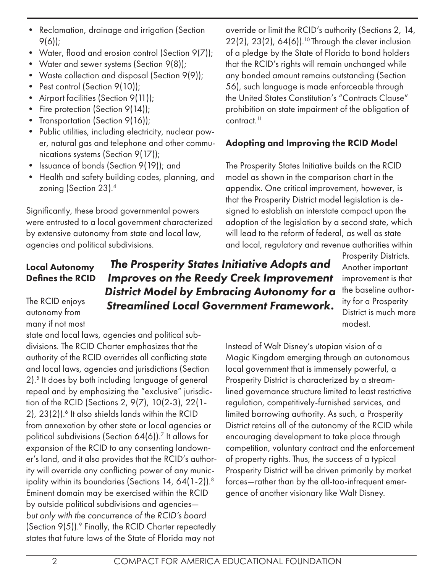- Reclamation, drainage and irrigation (Section 9(6));
- Water, flood and erosion control (Section 9(7));
- Water and sewer systems (Section 9(8));
- Waste collection and disposal (Section 9(9));
- Pest control (Section 9(10));
- Airport facilities (Section 9(11));
- Fire protection (Section 9(14));
- Transportation (Section 9(16));
- Public utilities, including electricity, nuclear power, natural gas and telephone and other communications systems (Section 9(17));
- Issuance of bonds (Section 9(19)); and
- Health and safety building codes, planning, and zoning (Section 23).4

Significantly, these broad governmental powers were entrusted to a local government characterized by extensive autonomy from state and local law, agencies and political subdivisions.

override or limit the RCID's authority (Sections 2, 14,  $22(2)$ ,  $23(2)$ ,  $64(6)$ ).<sup>10</sup> Through the clever inclusion of a pledge by the State of Florida to bond holders that the RCID's rights will remain unchanged while any bonded amount remains outstanding (Section 56), such language is made enforceable through the United States Constitution's "Contracts Clause" prohibition on state impairment of the obligation of contract.<sup>11</sup>

# Adopting and Improving the RCID Model

The Prosperity States Initiative builds on the RCID model as shown in the comparison chart in the appendix. One critical improvement, however, is that the Prosperity District model legislation is designed to establish an interstate compact upon the adoption of the legislation by a second state, which will lead to the reform of federal, as well as state and local, regulatory and revenue authorities within

Local Autonomy Defines the RCID

The RCID enjoys autonomy from many if not most

state and local laws, agencies and political subdivisions. The RCID Charter emphasizes that the authority of the RCID overrides all conflicting state and local laws, agencies and jurisdictions (Section 2).5 It does by both including language of general repeal and by emphasizing the "exclusive" jurisdiction of the RCID (Sections 2, 9(7), 10(2-3), 22(1-  $2$ ),  $23(2)$ ).<sup>6</sup> It also shields lands within the RCID from annexation by other state or local agencies or political subdivisions (Section 64(6)).7 It allows for expansion of the RCID to any consenting landowner's land, and it also provides that the RCID's authority will override any conflicting power of any municipality within its boundaries (Sections 14, 64(1-2)).<sup>8</sup> Eminent domain may be exercised within the RCID by outside political subdivisions and agencies *but only with the concurrence of the RCID's board* (Section 9(5)).<sup>9</sup> Finally, the RCID Charter repeatedly states that future laws of the State of Florida may not

Prosperity Districts. Another important improvement is that the baseline authority for a Prosperity District is much more modest. *Improves on the Reedy Creek Improvement District Model by Embracing Autonomy for a Streamlined Local Government Framework.*

> Instead of Walt Disney's utopian vision of a Magic Kingdom emerging through an autonomous local government that is immensely powerful, a Prosperity District is characterized by a streamlined governance structure limited to least restrictive regulation, competitively-furnished services, and limited borrowing authority. As such, a Prosperity District retains all of the autonomy of the RCID while encouraging development to take place through competition, voluntary contract and the enforcement of property rights. Thus, the success of a typical Prosperity District will be driven primarily by market forces—rather than by the all-too-infrequent emergence of another visionary like Walt Disney.

*The Prosperity States Initiative Adopts and*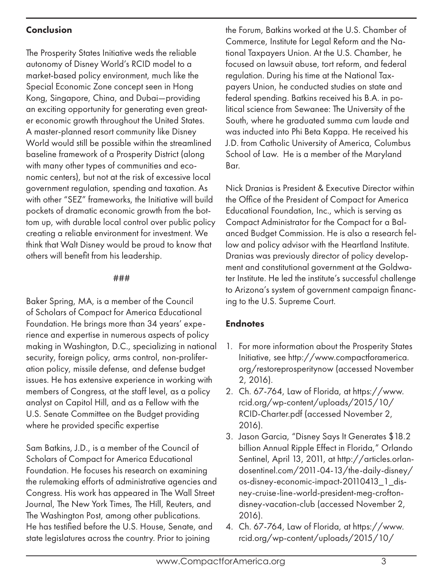#### Conclusion

The Prosperity States Initiative weds the reliable autonomy of Disney World's RCID model to a market-based policy environment, much like the Special Economic Zone concept seen in Hong Kong, Singapore, China, and Dubai—providing an exciting opportunity for generating even greater economic growth throughout the United States. A master-planned resort community like Disney World would still be possible within the streamlined baseline framework of a Prosperity District (along with many other types of communities and economic centers), but not at the risk of excessive local government regulation, spending and taxation. As with other "SEZ" frameworks, the Initiative will build pockets of dramatic economic growth from the bottom up, with durable local control over public policy creating a reliable environment for investment. We think that Walt Disney would be proud to know that others will benefit from his leadership.

#### ###

Baker Spring, MA, is a member of the Council of Scholars of Compact for America Educational Foundation. He brings more than 34 years' experience and expertise in numerous aspects of policy making in Washington, D.C., specializing in national security, foreign policy, arms control, non-proliferation policy, missile defense, and defense budget issues. He has extensive experience in working with members of Congress, at the staff level, as a policy analyst on Capitol Hill, and as a Fellow with the U.S. Senate Committee on the Budget providing where he provided specific expertise

Sam Batkins, J.D., is a member of the Council of Scholars of Compact for America Educational Foundation. He focuses his research on examining the rulemaking efforts of administrative agencies and Congress. His work has appeared in The Wall Street Journal, The New York Times, The Hill, Reuters, and The Washington Post, among other publications. He has testified before the U.S. House, Senate, and state legislatures across the country. Prior to joining

the Forum, Batkins worked at the U.S. Chamber of Commerce, Institute for Legal Reform and the National Taxpayers Union. At the U.S. Chamber, he focused on lawsuit abuse, tort reform, and federal regulation. During his time at the National Taxpayers Union, he conducted studies on state and federal spending. Batkins received his B.A. in political science from Sewanee: The University of the South, where he graduated summa cum laude and was inducted into Phi Beta Kappa. He received his J.D. from Catholic University of America, Columbus School of Law. He is a member of the Maryland Bar.

Nick Dranias is President & Executive Director within the Office of the President of Compact for America Educational Foundation, Inc., which is serving as Compact Administrator for the Compact for a Balanced Budget Commission. He is also a research fellow and policy advisor with the Heartland Institute. Dranias was previously director of policy development and constitutional government at the Goldwater Institute. He led the institute's successful challenge to Arizona's system of government campaign financing to the U.S. Supreme Court.

## **Endnotes**

- 1. For more information about the Prosperity States Initiative, see http://www.compactforamerica. org/restoreprosperitynow (accessed November 2, 2016).
- 2. Ch. 67-764, Law of Florida, at https://www. rcid.org/wp-content/uploads/2015/10/ RCID-Charter.pdf (accessed November 2, 2016).
- 3. Jason Garcia, "Disney Says It Generates \$18.2 billion Annual Ripple Effect in Florida," Orlando Sentinel, April 13, 2011, at http://articles.orlandosentinel.com/2011-04-13/the-daily-disney/ os-disney-economic-impact-20110413\_1\_disney-cruise-line-world-president-meg-croftondisney-vacation-club (accessed November 2, 2016).
- 4. Ch. 67-764, Law of Florida, at https://www. rcid.org/wp-content/uploads/2015/10/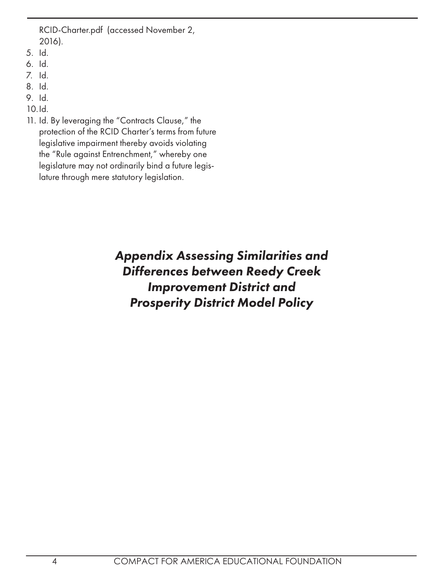RCID-Charter.pdf (accessed November 2, 2016).

- 5. Id.
- 6. Id.
- 7. Id.
- 8. Id.
- 9. Id.
- 10.Id.
- 11. Id. By leveraging the "Contracts Clause," the protection of the RCID Charter's terms from future legislative impairment thereby avoids violating the "Rule against Entrenchment," whereby one legislature may not ordinarily bind a future legislature through mere statutory legislation.

# *Appendix Assessing Similarities and Differences between Reedy Creek Improvement District and Prosperity District Model Policy*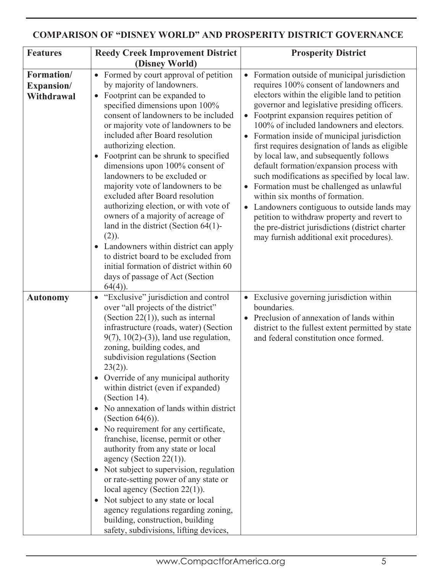### **COMPARISON OF "DISNEY WORLD" AND PROSPERITY DISTRICT GOVERNANCE**

| <b>Features</b>                        | <b>Reedy Creek Improvement District</b>                                                                                                                                                                                                                                                                                                                                                                                                                                                                                                                                                                                                                                                                                                                                                                                                                                                                        | <b>Prosperity District</b>                                                                                                                                                                                                                                                                                                                                                                                                                                                                                                                                                                                                                                                                                                                                                                                                                               |
|----------------------------------------|----------------------------------------------------------------------------------------------------------------------------------------------------------------------------------------------------------------------------------------------------------------------------------------------------------------------------------------------------------------------------------------------------------------------------------------------------------------------------------------------------------------------------------------------------------------------------------------------------------------------------------------------------------------------------------------------------------------------------------------------------------------------------------------------------------------------------------------------------------------------------------------------------------------|----------------------------------------------------------------------------------------------------------------------------------------------------------------------------------------------------------------------------------------------------------------------------------------------------------------------------------------------------------------------------------------------------------------------------------------------------------------------------------------------------------------------------------------------------------------------------------------------------------------------------------------------------------------------------------------------------------------------------------------------------------------------------------------------------------------------------------------------------------|
|                                        | (Disney World)                                                                                                                                                                                                                                                                                                                                                                                                                                                                                                                                                                                                                                                                                                                                                                                                                                                                                                 |                                                                                                                                                                                                                                                                                                                                                                                                                                                                                                                                                                                                                                                                                                                                                                                                                                                          |
| Formation/<br>Expansion/<br>Withdrawal | • Formed by court approval of petition<br>by majority of landowners.<br>Footprint can be expanded to<br>$\bullet$<br>specified dimensions upon 100%<br>consent of landowners to be included<br>or majority vote of landowners to be<br>included after Board resolution<br>authorizing election.<br>Footprint can be shrunk to specified<br>dimensions upon 100% consent of<br>landowners to be excluded or<br>majority vote of landowners to be<br>excluded after Board resolution<br>authorizing election, or with vote of<br>owners of a majority of acreage of<br>land in the district (Section $64(1)$ -<br>$(2)$ ).<br>• Landowners within district can apply<br>to district board to be excluded from<br>initial formation of district within 60<br>days of passage of Act (Section<br>$64(4)$ ).                                                                                                        | Formation outside of municipal jurisdiction<br>$\bullet$<br>requires 100% consent of landowners and<br>electors within the eligible land to petition<br>governor and legislative presiding officers.<br>Footprint expansion requires petition of<br>$\bullet$<br>100% of included landowners and electors.<br>Formation inside of municipal jurisdiction<br>$\bullet$<br>first requires designation of lands as eligible<br>by local law, and subsequently follows<br>default formation/expansion process with<br>such modifications as specified by local law.<br>Formation must be challenged as unlawful<br>within six months of formation.<br>Landowners contiguous to outside lands may<br>$\bullet$<br>petition to withdraw property and revert to<br>the pre-district jurisdictions (district charter<br>may furnish additional exit procedures). |
| <b>Autonomy</b>                        | "Exclusive" jurisdiction and control<br>over "all projects of the district"<br>(Section $22(1)$ ), such as internal<br>infrastructure (roads, water) (Section<br>$9(7)$ , $10(2)$ - $(3)$ ), land use regulation,<br>zoning, building codes, and<br>subdivision regulations (Section<br>$23(2)$ ).<br>• Override of any municipal authority<br>within district (even if expanded)<br>(Section 14).<br>• No annexation of lands within district<br>(Section $64(6)$ ).<br>• No requirement for any certificate,<br>franchise, license, permit or other<br>authority from any state or local<br>agency (Section $22(1)$ ).<br>• Not subject to supervision, regulation<br>or rate-setting power of any state or<br>local agency (Section $22(1)$ ).<br>• Not subject to any state or local<br>agency regulations regarding zoning,<br>building, construction, building<br>safety, subdivisions, lifting devices, | Exclusive governing jurisdiction within<br>$\bullet$<br>boundaries.<br>Preclusion of annexation of lands within<br>district to the fullest extent permitted by state<br>and federal constitution once formed.                                                                                                                                                                                                                                                                                                                                                                                                                                                                                                                                                                                                                                            |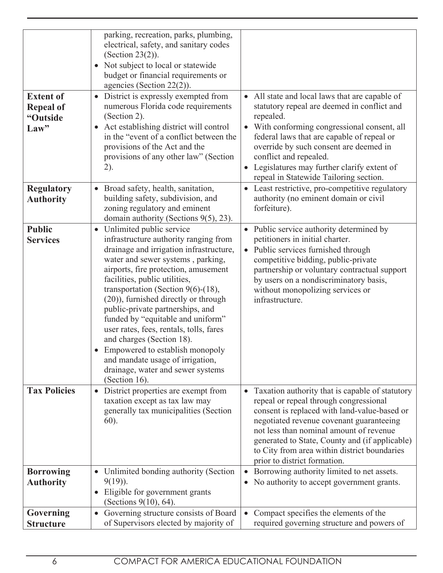| <b>Extent of</b><br><b>Repeal of</b><br>"Outside<br>Law" | parking, recreation, parks, plumbing,<br>electrical, safety, and sanitary codes<br>(Section $23(2)$ ).<br>• Not subject to local or statewide<br>budget or financial requirements or<br>agencies (Section $22(2)$ ).<br>• District is expressly exempted from<br>numerous Florida code requirements<br>(Section 2).<br>Act establishing district will control<br>$\bullet$<br>in the "event of a conflict between the<br>provisions of the Act and the<br>provisions of any other law" (Section<br>2).                                                                                   | • All state and local laws that are capable of<br>statutory repeal are deemed in conflict and<br>repealed.<br>• With conforming congressional consent, all<br>federal laws that are capable of repeal or<br>override by such consent are deemed in<br>conflict and repealed.<br>Legislatures may further clarify extent of<br>repeal in Statewide Tailoring section. |
|----------------------------------------------------------|------------------------------------------------------------------------------------------------------------------------------------------------------------------------------------------------------------------------------------------------------------------------------------------------------------------------------------------------------------------------------------------------------------------------------------------------------------------------------------------------------------------------------------------------------------------------------------------|----------------------------------------------------------------------------------------------------------------------------------------------------------------------------------------------------------------------------------------------------------------------------------------------------------------------------------------------------------------------|
| <b>Regulatory</b><br><b>Authority</b>                    | Broad safety, health, sanitation,<br>$\bullet$<br>building safety, subdivision, and<br>zoning regulatory and eminent<br>domain authority (Sections 9(5), 23).                                                                                                                                                                                                                                                                                                                                                                                                                            | • Least restrictive, pro-competitive regulatory<br>authority (no eminent domain or civil<br>forfeiture).                                                                                                                                                                                                                                                             |
| <b>Public</b><br><b>Services</b>                         | Unlimited public service<br>infrastructure authority ranging from<br>drainage and irrigation infrastructure,<br>water and sewer systems, parking,<br>airports, fire protection, amusement<br>facilities, public utilities,<br>transportation (Section 9(6)-(18),<br>(20)), furnished directly or through<br>public-private partnerships, and<br>funded by "equitable and uniform"<br>user rates, fees, rentals, tolls, fares<br>and charges (Section 18).<br>• Empowered to establish monopoly<br>and mandate usage of irrigation,<br>drainage, water and sewer systems<br>(Section 16). | • Public service authority determined by<br>petitioners in initial charter.<br>Public services furnished through<br>$\bullet$<br>competitive bidding, public-private<br>partnership or voluntary contractual support<br>by users on a nondiscriminatory basis,<br>without monopolizing services or<br>infrastructure.                                                |
| <b>Tax Policies</b>                                      | District properties are exempt from<br>$\bullet$<br>taxation except as tax law may<br>generally tax municipalities (Section<br>60).                                                                                                                                                                                                                                                                                                                                                                                                                                                      | • Taxation authority that is capable of statutory<br>repeal or repeal through congressional<br>consent is replaced with land-value-based or<br>negotiated revenue covenant guaranteeing<br>not less than nominal amount of revenue<br>generated to State, County and (if applicable)<br>to City from area within district boundaries<br>prior to district formation. |
| <b>Borrowing</b><br><b>Authority</b>                     | Unlimited bonding authority (Section<br>$\bullet$<br>$9(19)$ ).<br>Eligible for government grants<br>(Sections 9(10), 64).                                                                                                                                                                                                                                                                                                                                                                                                                                                               | Borrowing authority limited to net assets.<br>$\bullet$<br>No authority to accept government grants.<br>$\bullet$                                                                                                                                                                                                                                                    |
| Governing                                                | Governing structure consists of Board<br>$\bullet$                                                                                                                                                                                                                                                                                                                                                                                                                                                                                                                                       | Compact specifies the elements of the<br>$\bullet$                                                                                                                                                                                                                                                                                                                   |
| <b>Structure</b>                                         | of Supervisors elected by majority of                                                                                                                                                                                                                                                                                                                                                                                                                                                                                                                                                    | required governing structure and powers of                                                                                                                                                                                                                                                                                                                           |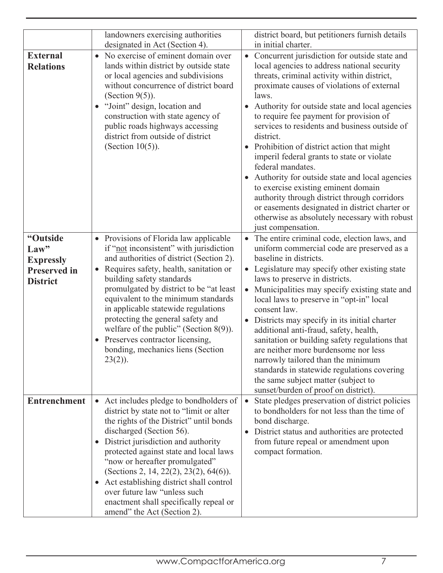|                                                                                | landowners exercising authorities<br>designated in Act (Section 4).                                                                                                                                                                                                                                                                                                                                                                                                                                     | district board, but petitioners furnish details<br>in initial charter.                                                                                                                                                                                                                                                                                                                                                                                                                                                                                                                                                                                                                                                                                       |
|--------------------------------------------------------------------------------|---------------------------------------------------------------------------------------------------------------------------------------------------------------------------------------------------------------------------------------------------------------------------------------------------------------------------------------------------------------------------------------------------------------------------------------------------------------------------------------------------------|--------------------------------------------------------------------------------------------------------------------------------------------------------------------------------------------------------------------------------------------------------------------------------------------------------------------------------------------------------------------------------------------------------------------------------------------------------------------------------------------------------------------------------------------------------------------------------------------------------------------------------------------------------------------------------------------------------------------------------------------------------------|
| <b>External</b><br><b>Relations</b>                                            | No exercise of eminent domain over<br>$\bullet$<br>lands within district by outside state<br>or local agencies and subdivisions<br>without concurrence of district board<br>(Section $9(5)$ ).<br>"Joint" design, location and<br>construction with state agency of<br>public roads highways accessing<br>district from outside of district<br>(Section $10(5)$ ).                                                                                                                                      | Concurrent jurisdiction for outside state and<br>$\bullet$<br>local agencies to address national security<br>threats, criminal activity within district,<br>proximate causes of violations of external<br>laws.<br>Authority for outside state and local agencies<br>to require fee payment for provision of<br>services to residents and business outside of<br>district.<br>Prohibition of district action that might<br>imperil federal grants to state or violate<br>federal mandates.<br>Authority for outside state and local agencies<br>to exercise existing eminent domain<br>authority through district through corridors<br>or easements designated in district charter or<br>otherwise as absolutely necessary with robust<br>just compensation. |
| "Outside<br>Law"<br><b>Expressly</b><br><b>Preserved in</b><br><b>District</b> | • Provisions of Florida law applicable<br>if "not inconsistent" with jurisdiction<br>and authorities of district (Section 2).<br>Requires safety, health, sanitation or<br>building safety standards<br>promulgated by district to be "at least<br>equivalent to the minimum standards<br>in applicable statewide regulations<br>protecting the general safety and<br>welfare of the public" (Section $8(9)$ ).<br>• Preserves contractor licensing,<br>bonding, mechanics liens (Section<br>$23(2)$ ). | The entire criminal code, election laws, and<br>$\bullet$<br>uniform commercial code are preserved as a<br>baseline in districts.<br>Legislature may specify other existing state<br>$\bullet$<br>laws to preserve in districts.<br>Municipalities may specify existing state and<br>$\bullet$<br>local laws to preserve in "opt-in" local<br>consent law.<br>Districts may specify in its initial charter<br>additional anti-fraud, safety, health,<br>sanitation or building safety regulations that<br>are neither more burdensome nor less<br>narrowly tailored than the minimum<br>standards in statewide regulations covering<br>the same subject matter (subject to<br>sunset/burden of proof on district).                                           |
| <b>Entrenchment</b>                                                            | • Act includes pledge to bondholders of<br>district by state not to "limit or alter<br>the rights of the District" until bonds<br>discharged (Section 56).<br>District jurisdiction and authority<br>protected against state and local laws<br>"now or hereafter promulgated"<br>(Sections 2, 14, 22(2), 23(2), 64(6)).<br>• Act establishing district shall control<br>over future law "unless such<br>enactment shall specifically repeal or<br>amend" the Act (Section 2).                           | State pledges preservation of district policies<br>$\bullet$<br>to bondholders for not less than the time of<br>bond discharge.<br>District status and authorities are protected<br>$\bullet$<br>from future repeal or amendment upon<br>compact formation.                                                                                                                                                                                                                                                                                                                                                                                                                                                                                                  |